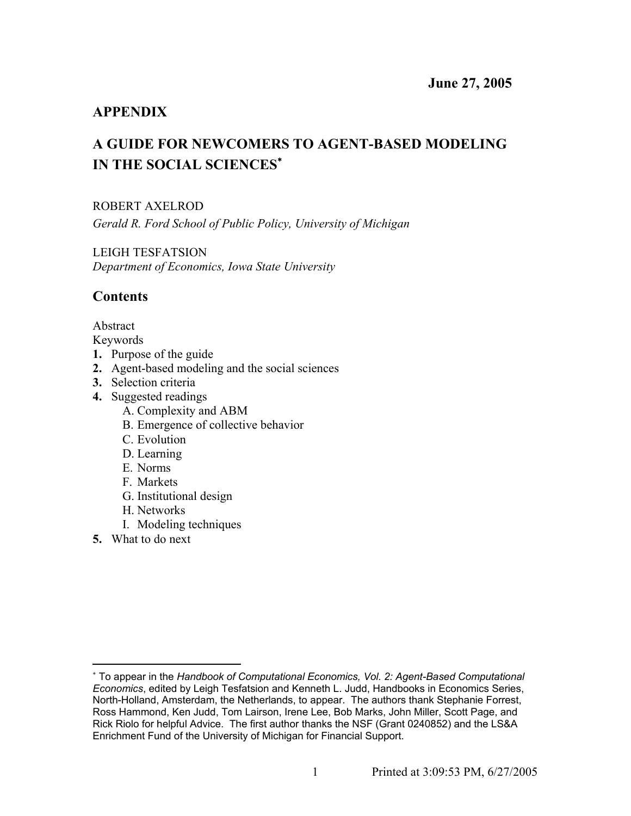## **APPENDIX**

# **A GUIDE FOR NEWCOMERS TO AGENT-BASED MODELING IN THE SOCIAL SCIENCES**<sup>∗</sup>

ROBERT AXELROD

*Gerald R. Ford School of Public Policy, University of Michigan*

LEIGH TESFATSION *Department of Economics, Iowa State University*

### **Contents**

Abstract

Keywords

- **1.** Purpose of the guide
- **2.** Agent-based modeling and the social sciences
- **3.** Selection criteria
- **4.** Suggested readings
	- A. Complexity and ABM
	- B. Emergence of collective behavior
	- C. Evolution
	- D. Learning
	- E. Norms
	- F. Markets
	- G. Institutional design
	- H. Networks
	- I. Modeling techniques
- **5.** What to do next

 $\overline{a}$ 

<sup>∗</sup> To appear in the *Handbook of Computational Economics, Vol. 2: Agent-Based Computational Economics*, edited by Leigh Tesfatsion and Kenneth L. Judd, Handbooks in Economics Series, North-Holland, Amsterdam, the Netherlands, to appear. The authors thank Stephanie Forrest, Ross Hammond, Ken Judd, Tom Lairson, Irene Lee, Bob Marks, John Miller, Scott Page, and Rick Riolo for helpful Advice. The first author thanks the NSF (Grant 0240852) and the LS&A Enrichment Fund of the University of Michigan for Financial Support.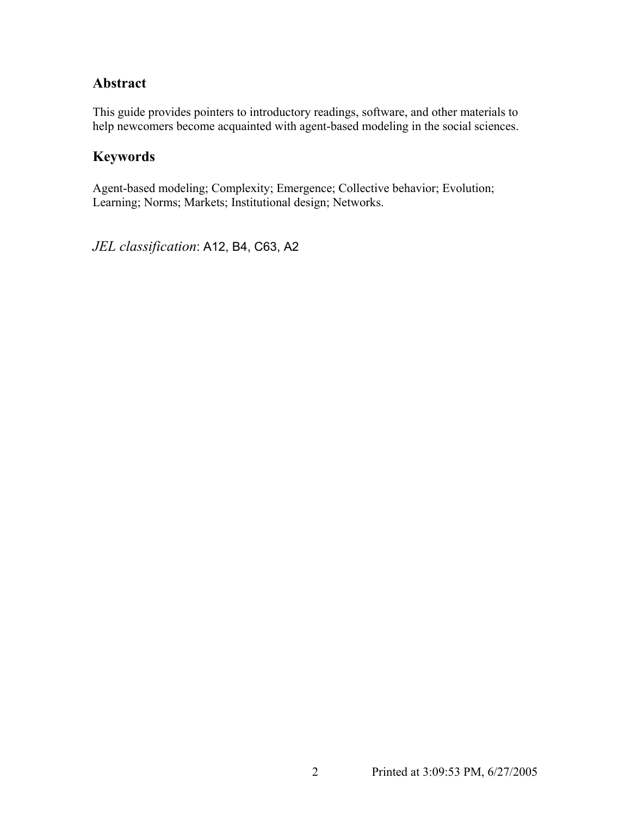## **Abstract**

This guide provides pointers to introductory readings, software, and other materials to help newcomers become acquainted with agent-based modeling in the social sciences.

## **Keywords**

Agent-based modeling; Complexity; Emergence; Collective behavior; Evolution; Learning; Norms; Markets; Institutional design; Networks.

*JEL classification*: A12, B4, C63, A2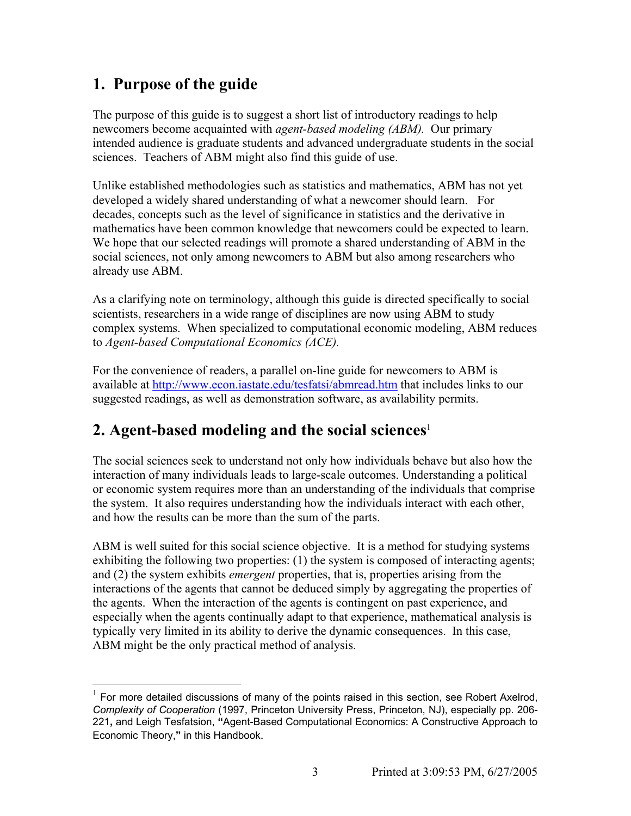# **1. Purpose of the guide**

 $\overline{a}$ 

The purpose of this guide is to suggest a short list of introductory readings to help newcomers become acquainted with *agent-based modeling (ABM).* Our primary intended audience is graduate students and advanced undergraduate students in the social sciences. Teachers of ABM might also find this guide of use.

Unlike established methodologies such as statistics and mathematics, ABM has not yet developed a widely shared understanding of what a newcomer should learn. For decades, concepts such as the level of significance in statistics and the derivative in mathematics have been common knowledge that newcomers could be expected to learn. We hope that our selected readings will promote a shared understanding of ABM in the social sciences, not only among newcomers to ABM but also among researchers who already use ABM.

As a clarifying note on terminology, although this guide is directed specifically to social scientists, researchers in a wide range of disciplines are now using ABM to study complex systems. When specialized to computational economic modeling, ABM reduces to *Agent-based Computational Economics (ACE).*

For the convenience of readers, a parallel on-line guide for newcomers to ABM is available at http://www.econ.iastate.edu/tesfatsi/abmread.htm that includes links to our suggested readings, as well as demonstration software, as availability permits.

# **2. Agent-based modeling and the social sciences**<sup>1</sup>

The social sciences seek to understand not only how individuals behave but also how the interaction of many individuals leads to large-scale outcomes. Understanding a political or economic system requires more than an understanding of the individuals that comprise the system. It also requires understanding how the individuals interact with each other, and how the results can be more than the sum of the parts.

ABM is well suited for this social science objective. It is a method for studying systems exhibiting the following two properties: (1) the system is composed of interacting agents; and (2) the system exhibits *emergent* properties, that is, properties arising from the interactions of the agents that cannot be deduced simply by aggregating the properties of the agents. When the interaction of the agents is contingent on past experience, and especially when the agents continually adapt to that experience, mathematical analysis is typically very limited in its ability to derive the dynamic consequences. In this case, ABM might be the only practical method of analysis.

 $1$  For more detailed discussions of many of the points raised in this section, see Robert Axelrod, *Complexity of Cooperation* (1997, Princeton University Press, Princeton, NJ), especially pp. 206- 221**,** and Leigh Tesfatsion, **"**Agent-Based Computational Economics: A Constructive Approach to Economic Theory,**"** in this Handbook.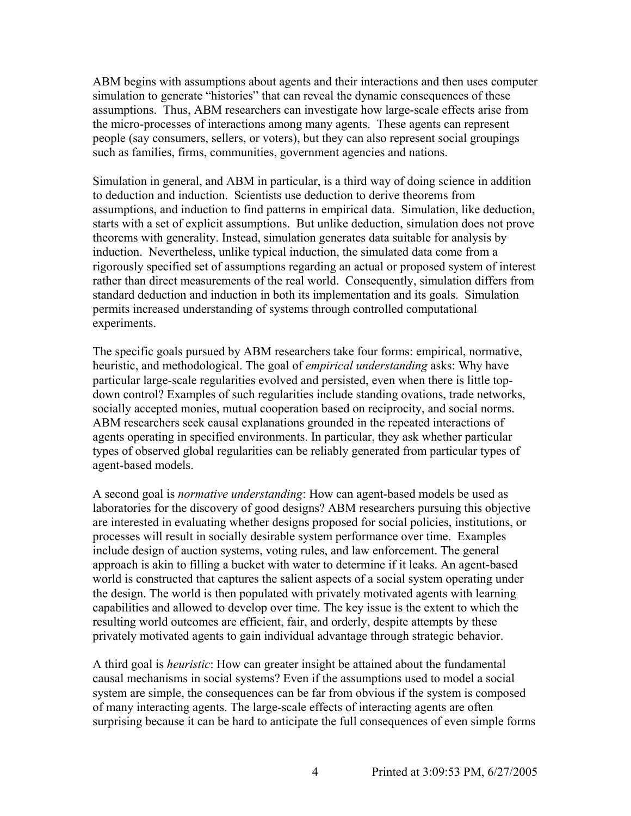ABM begins with assumptions about agents and their interactions and then uses computer simulation to generate "histories" that can reveal the dynamic consequences of these assumptions. Thus, ABM researchers can investigate how large-scale effects arise from the micro-processes of interactions among many agents. These agents can represent people (say consumers, sellers, or voters), but they can also represent social groupings such as families, firms, communities, government agencies and nations.

Simulation in general, and ABM in particular, is a third way of doing science in addition to deduction and induction. Scientists use deduction to derive theorems from assumptions, and induction to find patterns in empirical data. Simulation, like deduction, starts with a set of explicit assumptions. But unlike deduction, simulation does not prove theorems with generality. Instead, simulation generates data suitable for analysis by induction. Nevertheless, unlike typical induction, the simulated data come from a rigorously specified set of assumptions regarding an actual or proposed system of interest rather than direct measurements of the real world. Consequently, simulation differs from standard deduction and induction in both its implementation and its goals. Simulation permits increased understanding of systems through controlled computational experiments.

The specific goals pursued by ABM researchers take four forms: empirical, normative, heuristic, and methodological. The goal of *empirical understanding* asks: Why have particular large-scale regularities evolved and persisted, even when there is little topdown control? Examples of such regularities include standing ovations, trade networks, socially accepted monies, mutual cooperation based on reciprocity, and social norms. ABM researchers seek causal explanations grounded in the repeated interactions of agents operating in specified environments. In particular, they ask whether particular types of observed global regularities can be reliably generated from particular types of agent-based models.

A second goal is *normative understanding*: How can agent-based models be used as laboratories for the discovery of good designs? ABM researchers pursuing this objective are interested in evaluating whether designs proposed for social policies, institutions, or processes will result in socially desirable system performance over time. Examples include design of auction systems, voting rules, and law enforcement. The general approach is akin to filling a bucket with water to determine if it leaks. An agent-based world is constructed that captures the salient aspects of a social system operating under the design. The world is then populated with privately motivated agents with learning capabilities and allowed to develop over time. The key issue is the extent to which the resulting world outcomes are efficient, fair, and orderly, despite attempts by these privately motivated agents to gain individual advantage through strategic behavior.

A third goal is *heuristic*: How can greater insight be attained about the fundamental causal mechanisms in social systems? Even if the assumptions used to model a social system are simple, the consequences can be far from obvious if the system is composed of many interacting agents. The large-scale effects of interacting agents are often surprising because it can be hard to anticipate the full consequences of even simple forms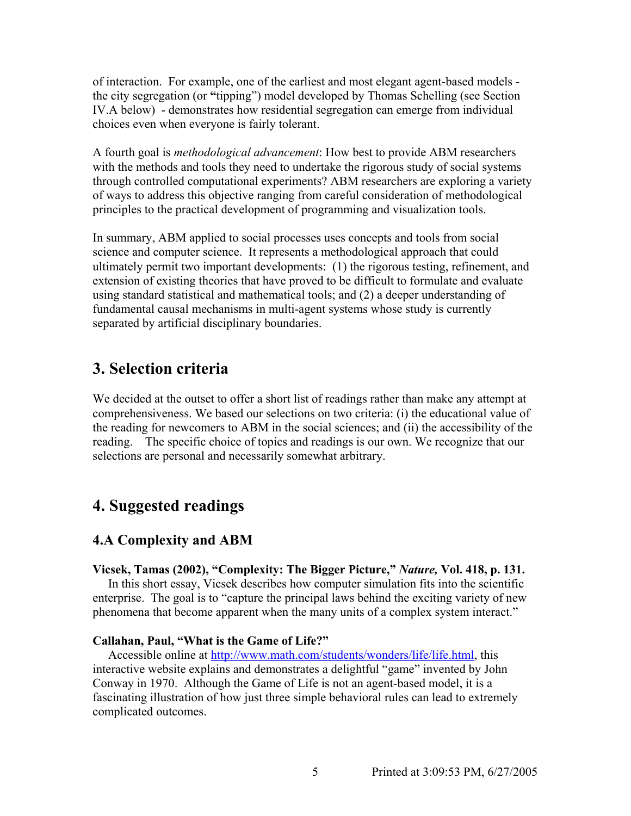of interaction. For example, one of the earliest and most elegant agent-based models the city segregation (or **"**tipping") model developed by Thomas Schelling (see Section IV.A below) - demonstrates how residential segregation can emerge from individual choices even when everyone is fairly tolerant.

A fourth goal is *methodological advancement*: How best to provide ABM researchers with the methods and tools they need to undertake the rigorous study of social systems through controlled computational experiments? ABM researchers are exploring a variety of ways to address this objective ranging from careful consideration of methodological principles to the practical development of programming and visualization tools.

In summary, ABM applied to social processes uses concepts and tools from social science and computer science. It represents a methodological approach that could ultimately permit two important developments: (1) the rigorous testing, refinement, and extension of existing theories that have proved to be difficult to formulate and evaluate using standard statistical and mathematical tools; and (2) a deeper understanding of fundamental causal mechanisms in multi-agent systems whose study is currently separated by artificial disciplinary boundaries.

## **3. Selection criteria**

We decided at the outset to offer a short list of readings rather than make any attempt at comprehensiveness. We based our selections on two criteria: (i) the educational value of the reading for newcomers to ABM in the social sciences; and (ii) the accessibility of the reading. The specific choice of topics and readings is our own. We recognize that our selections are personal and necessarily somewhat arbitrary.

# **4. Suggested readings**

## **4.A Complexity and ABM**

### **Vicsek, Tamas (2002), "Complexity: The Bigger Picture,"** *Nature,* **Vol. 418, p. 131.**

 In this short essay, Vicsek describes how computer simulation fits into the scientific enterprise. The goal is to "capture the principal laws behind the exciting variety of new phenomena that become apparent when the many units of a complex system interact."

#### **Callahan, Paul, "What is the Game of Life?"**

 Accessible online at http://www.math.com/students/wonders/life/life.html, this interactive website explains and demonstrates a delightful "game" invented by John Conway in 1970. Although the Game of Life is not an agent-based model, it is a fascinating illustration of how just three simple behavioral rules can lead to extremely complicated outcomes.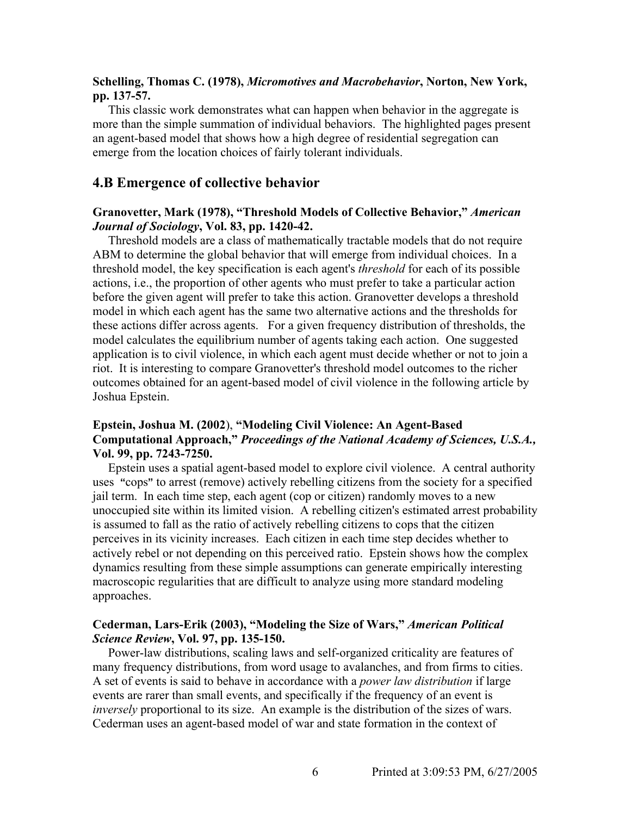#### **Schelling, Thomas C. (1978),** *Micromotives and Macrobehavior***, Norton, New York, pp. 137-57.**

 This classic work demonstrates what can happen when behavior in the aggregate is more than the simple summation of individual behaviors. The highlighted pages present an agent-based model that shows how a high degree of residential segregation can emerge from the location choices of fairly tolerant individuals.

#### **4.B Emergence of collective behavior**

#### **Granovetter, Mark (1978), "Threshold Models of Collective Behavior,"** *American Journal of Sociology***, Vol. 83, pp. 1420-42.**

 Threshold models are a class of mathematically tractable models that do not require ABM to determine the global behavior that will emerge from individual choices. In a threshold model, the key specification is each agent's *threshold* for each of its possible actions, i.e., the proportion of other agents who must prefer to take a particular action before the given agent will prefer to take this action. Granovetter develops a threshold model in which each agent has the same two alternative actions and the thresholds for these actions differ across agents. For a given frequency distribution of thresholds, the model calculates the equilibrium number of agents taking each action. One suggested application is to civil violence, in which each agent must decide whether or not to join a riot. It is interesting to compare Granovetter's threshold model outcomes to the richer outcomes obtained for an agent-based model of civil violence in the following article by Joshua Epstein.

#### **Epstein, Joshua M. (2002**), **"Modeling Civil Violence: An Agent-Based Computational Approach,"** *Proceedings of the National Academy of Sciences, U.S.A.,* **Vol. 99, pp. 7243-7250.**

 Epstein uses a spatial agent-based model to explore civil violence. A central authority uses **"**cops**"** to arrest (remove) actively rebelling citizens from the society for a specified jail term. In each time step, each agent (cop or citizen) randomly moves to a new unoccupied site within its limited vision. A rebelling citizen's estimated arrest probability is assumed to fall as the ratio of actively rebelling citizens to cops that the citizen perceives in its vicinity increases. Each citizen in each time step decides whether to actively rebel or not depending on this perceived ratio. Epstein shows how the complex dynamics resulting from these simple assumptions can generate empirically interesting macroscopic regularities that are difficult to analyze using more standard modeling approaches.

#### **Cederman, Lars-Erik (2003), "Modeling the Size of Wars,"** *American Political Science Review***, Vol. 97, pp. 135-150.**

 Power-law distributions, scaling laws and self-organized criticality are features of many frequency distributions, from word usage to avalanches, and from firms to cities. A set of events is said to behave in accordance with a *power law distribution* if large events are rarer than small events, and specifically if the frequency of an event is *inversely* proportional to its size. An example is the distribution of the sizes of wars. Cederman uses an agent-based model of war and state formation in the context of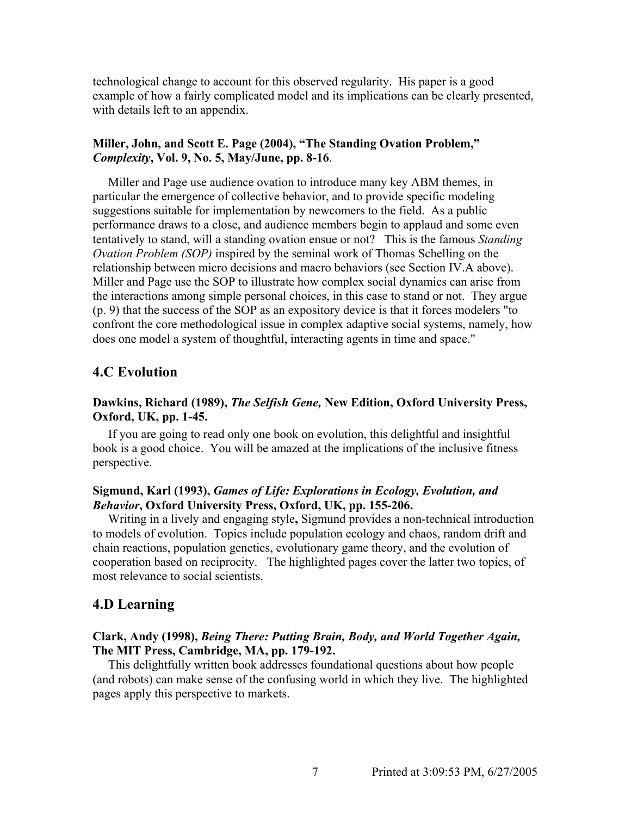technological change to account for this observed regularity. His paper is a good example of how a fairly complicated model and its implications can be clearly presented, with details left to an appendix.

#### **Miller, John, and Scott E. Page (2004), "The Standing Ovation Problem,"** *Complexity***, Vol. 9, No. 5, May/June, pp. 8-16**.

 Miller and Page use audience ovation to introduce many key ABM themes, in particular the emergence of collective behavior, and to provide specific modeling suggestions suitable for implementation by newcomers to the field. As a public performance draws to a close, and audience members begin to applaud and some even tentatively to stand, will a standing ovation ensue or not? This is the famous *Standing Ovation Problem (SOP)* inspired by the seminal work of Thomas Schelling on the relationship between micro decisions and macro behaviors (see Section IV.A above). Miller and Page use the SOP to illustrate how complex social dynamics can arise from the interactions among simple personal choices, in this case to stand or not. They argue (p. 9) that the success of the SOP as an expository device is that it forces modelers "to confront the core methodological issue in complex adaptive social systems, namely, how does one model a system of thoughtful, interacting agents in time and space."

#### **4.C Evolution**

#### **Dawkins, Richard (1989),** *The Selfish Gene,* **New Edition, Oxford University Press, Oxford, UK, pp. 1-45.**

 If you are going to read only one book on evolution, this delightful and insightful book is a good choice. You will be amazed at the implications of the inclusive fitness perspective.

#### **Sigmund, Karl (1993),** *Games of Life: Explorations in Ecology, Evolution, and Behavior***, Oxford University Press, Oxford, UK, pp. 155-206.**

Writing in a lively and engaging style**,** Sigmund provides a non-technical introduction to models of evolution. Topics include population ecology and chaos, random drift and chain reactions, population genetics, evolutionary game theory, and the evolution of cooperation based on reciprocity. The highlighted pages cover the latter two topics, of most relevance to social scientists.

#### **4.D Learning**

#### **Clark, Andy (1998),** *Being There: Putting Brain, Body, and World Together Again,* **The MIT Press, Cambridge, MA, pp. 179-192.**

 This delightfully written book addresses foundational questions about how people (and robots) can make sense of the confusing world in which they live. The highlighted pages apply this perspective to markets.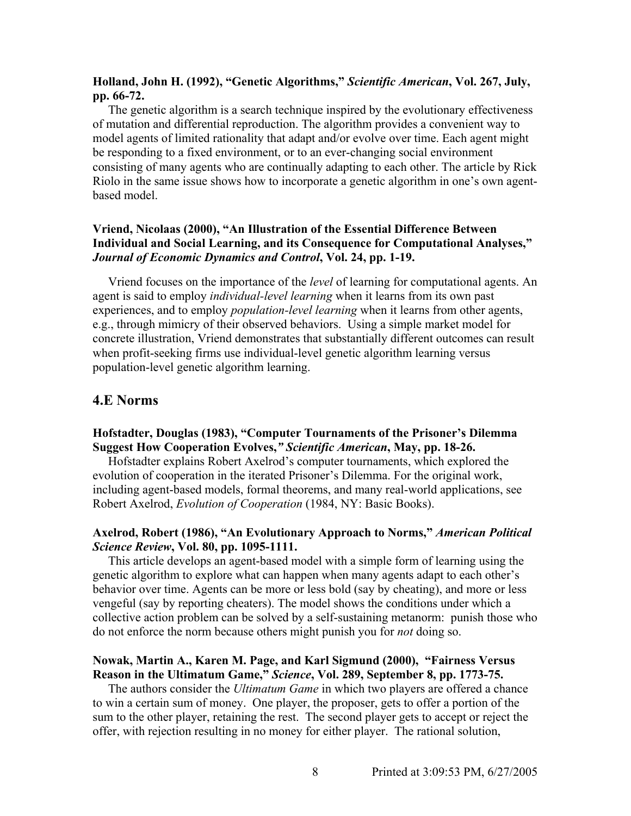#### **Holland, John H. (1992), "Genetic Algorithms,"** *Scientific American***, Vol. 267, July, pp. 66-72.**

 The genetic algorithm is a search technique inspired by the evolutionary effectiveness of mutation and differential reproduction. The algorithm provides a convenient way to model agents of limited rationality that adapt and/or evolve over time. Each agent might be responding to a fixed environment, or to an ever-changing social environment consisting of many agents who are continually adapting to each other. The article by Rick Riolo in the same issue shows how to incorporate a genetic algorithm in one's own agentbased model.

#### **Vriend, Nicolaas (2000), "An Illustration of the Essential Difference Between Individual and Social Learning, and its Consequence for Computational Analyses,"** *Journal of Economic Dynamics and Control***, Vol. 24, pp. 1-19.**

 Vriend focuses on the importance of the *level* of learning for computational agents. An agent is said to employ *individual-level learning* when it learns from its own past experiences, and to employ *population-level learning* when it learns from other agents, e.g., through mimicry of their observed behaviors. Using a simple market model for concrete illustration, Vriend demonstrates that substantially different outcomes can result when profit-seeking firms use individual-level genetic algorithm learning versus population-level genetic algorithm learning.

#### **4.E Norms**

#### **Hofstadter, Douglas (1983), "Computer Tournaments of the Prisoner's Dilemma Suggest How Cooperation Evolves,***" Scientific American***, May, pp. 18-26.**

 Hofstadter explains Robert Axelrod's computer tournaments, which explored the evolution of cooperation in the iterated Prisoner's Dilemma. For the original work, including agent-based models, formal theorems, and many real-world applications, see Robert Axelrod, *Evolution of Cooperation* (1984, NY: Basic Books).

#### **Axelrod, Robert (1986), "An Evolutionary Approach to Norms,"** *American Political Science Review***, Vol. 80, pp. 1095-1111.**

 This article develops an agent-based model with a simple form of learning using the genetic algorithm to explore what can happen when many agents adapt to each other's behavior over time. Agents can be more or less bold (say by cheating), and more or less vengeful (say by reporting cheaters). The model shows the conditions under which a collective action problem can be solved by a self-sustaining metanorm: punish those who do not enforce the norm because others might punish you for *not* doing so.

#### **Nowak, Martin A., Karen M. Page, and Karl Sigmund (2000), "Fairness Versus Reason in the Ultimatum Game,"** *Science***, Vol. 289, September 8, pp. 1773-75.**

 The authors consider the *Ultimatum Game* in which two players are offered a chance to win a certain sum of money. One player, the proposer, gets to offer a portion of the sum to the other player, retaining the rest. The second player gets to accept or reject the offer, with rejection resulting in no money for either player. The rational solution,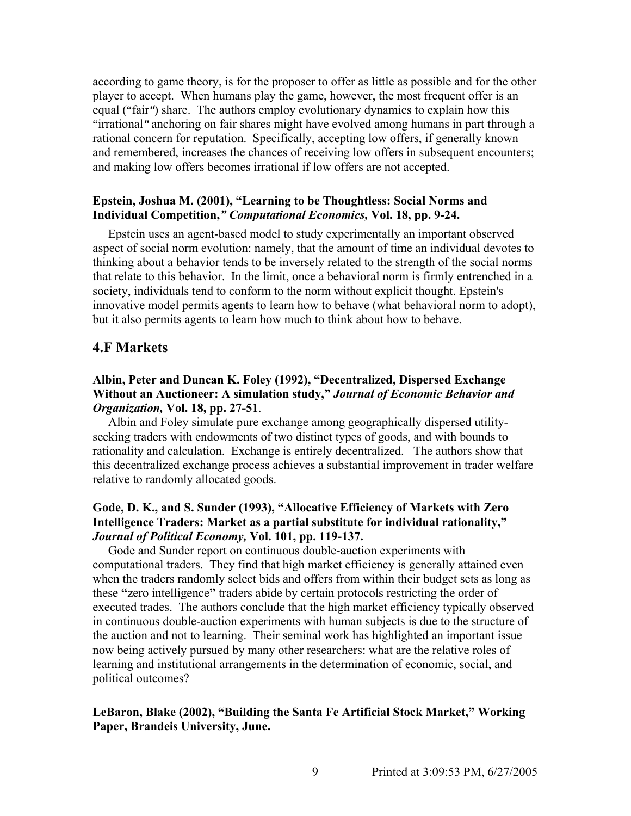according to game theory, is for the proposer to offer as little as possible and for the other player to accept. When humans play the game, however, the most frequent offer is an equal (**"**fair*"*) share. The authors employ evolutionary dynamics to explain how this **"**irrational*"* anchoring on fair shares might have evolved among humans in part through a rational concern for reputation. Specifically, accepting low offers, if generally known and remembered, increases the chances of receiving low offers in subsequent encounters; and making low offers becomes irrational if low offers are not accepted.

#### **Epstein, Joshua M. (2001), "Learning to be Thoughtless: Social Norms and Individual Competition,***" Computational Economics,* **Vol. 18, pp. 9-24.**

 Epstein uses an agent-based model to study experimentally an important observed aspect of social norm evolution: namely, that the amount of time an individual devotes to thinking about a behavior tends to be inversely related to the strength of the social norms that relate to this behavior. In the limit, once a behavioral norm is firmly entrenched in a society, individuals tend to conform to the norm without explicit thought. Epstein's innovative model permits agents to learn how to behave (what behavioral norm to adopt), but it also permits agents to learn how much to think about how to behave.

#### **4.F Markets**

#### **Albin, Peter and Duncan K. Foley (1992), "Decentralized, Dispersed Exchange Without an Auctioneer: A simulation study,"** *Journal of Economic Behavior and Organization,* **Vol. 18, pp. 27-51**.

 Albin and Foley simulate pure exchange among geographically dispersed utilityseeking traders with endowments of two distinct types of goods, and with bounds to rationality and calculation. Exchange is entirely decentralized. The authors show that this decentralized exchange process achieves a substantial improvement in trader welfare relative to randomly allocated goods.

#### **Gode, D. K., and S. Sunder (1993), "Allocative Efficiency of Markets with Zero Intelligence Traders: Market as a partial substitute for individual rationality,"** *Journal of Political Economy,* **Vol. 101, pp. 119-137.**

 Gode and Sunder report on continuous double-auction experiments with computational traders. They find that high market efficiency is generally attained even when the traders randomly select bids and offers from within their budget sets as long as these **"**zero intelligence**"** traders abide by certain protocols restricting the order of executed trades. The authors conclude that the high market efficiency typically observed in continuous double-auction experiments with human subjects is due to the structure of the auction and not to learning. Their seminal work has highlighted an important issue now being actively pursued by many other researchers: what are the relative roles of learning and institutional arrangements in the determination of economic, social, and political outcomes?

#### **LeBaron, Blake (2002), "Building the Santa Fe Artificial Stock Market," Working Paper, Brandeis University, June.**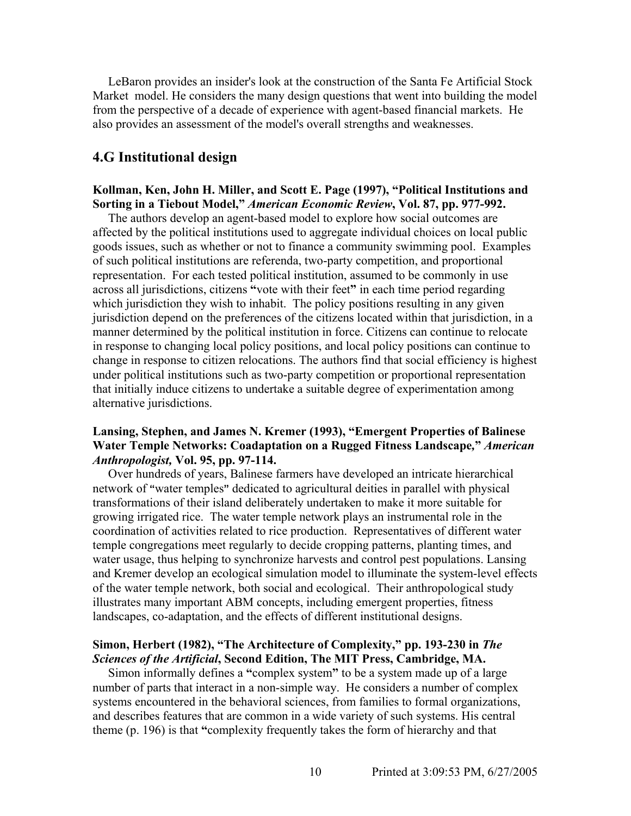LeBaron provides an insider's look at the construction of the Santa Fe Artificial Stock Market model. He considers the many design questions that went into building the model from the perspective of a decade of experience with agent-based financial markets. He also provides an assessment of the model's overall strengths and weaknesses.

#### **4.G Institutional design**

#### **Kollman, Ken, John H. Miller, and Scott E. Page (1997), "Political Institutions and Sorting in a Tiebout Model,"** *American Economic Review***, Vol. 87, pp. 977-992.**

The authors develop an agent-based model to explore how social outcomes are affected by the political institutions used to aggregate individual choices on local public goods issues, such as whether or not to finance a community swimming pool. Examples of such political institutions are referenda, two-party competition, and proportional representation. For each tested political institution, assumed to be commonly in use across all jurisdictions, citizens **"**vote with their feet**"** in each time period regarding which jurisdiction they wish to inhabit. The policy positions resulting in any given jurisdiction depend on the preferences of the citizens located within that jurisdiction, in a manner determined by the political institution in force. Citizens can continue to relocate in response to changing local policy positions, and local policy positions can continue to change in response to citizen relocations. The authors find that social efficiency is highest under political institutions such as two-party competition or proportional representation that initially induce citizens to undertake a suitable degree of experimentation among alternative jurisdictions.

#### **Lansing, Stephen, and James N. Kremer (1993), "Emergent Properties of Balinese Water Temple Networks: Coadaptation on a Rugged Fitness Landscape***,***"** *American Anthropologist,* **Vol. 95, pp. 97-114.**

 Over hundreds of years, Balinese farmers have developed an intricate hierarchical network of **"**water temples**"** dedicated to agricultural deities in parallel with physical transformations of their island deliberately undertaken to make it more suitable for growing irrigated rice. The water temple network plays an instrumental role in the coordination of activities related to rice production. Representatives of different water temple congregations meet regularly to decide cropping patterns, planting times, and water usage, thus helping to synchronize harvests and control pest populations. Lansing and Kremer develop an ecological simulation model to illuminate the system-level effects of the water temple network, both social and ecological. Their anthropological study illustrates many important ABM concepts, including emergent properties, fitness landscapes, co-adaptation, and the effects of different institutional designs.

#### **Simon, Herbert (1982), "The Architecture of Complexity," pp. 193-230 in** *The Sciences of the Artificial***, Second Edition, The MIT Press, Cambridge, MA.**

 Simon informally defines a **"**complex system**"** to be a system made up of a large number of parts that interact in a non-simple way. He considers a number of complex systems encountered in the behavioral sciences, from families to formal organizations, and describes features that are common in a wide variety of such systems. His central theme (p. 196) is that **"**complexity frequently takes the form of hierarchy and that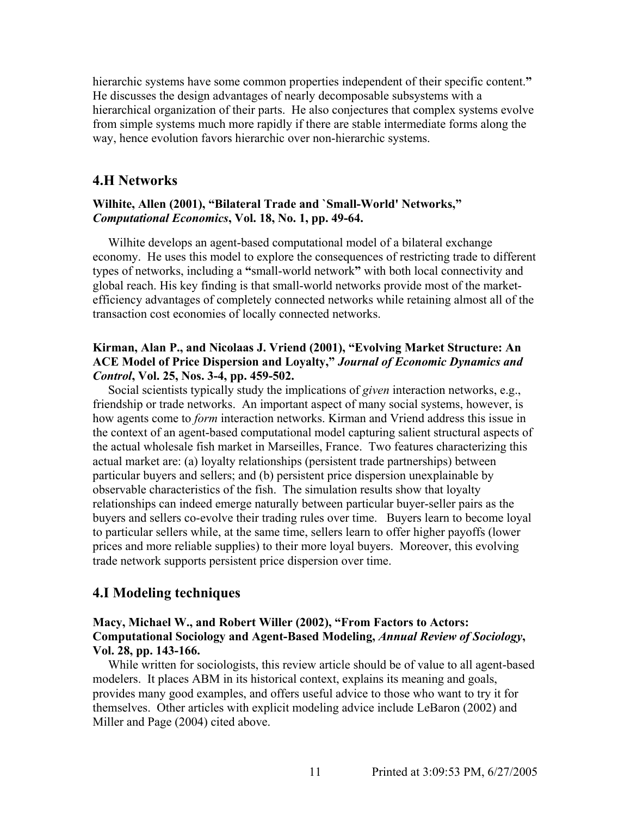hierarchic systems have some common properties independent of their specific content.**"** He discusses the design advantages of nearly decomposable subsystems with a hierarchical organization of their parts. He also conjectures that complex systems evolve from simple systems much more rapidly if there are stable intermediate forms along the way, hence evolution favors hierarchic over non-hierarchic systems.

#### **4.H Networks**

#### **Wilhite, Allen (2001), "Bilateral Trade and `Small-World' Networks,"** *Computational Economics***, Vol. 18, No. 1, pp. 49-64.**

 Wilhite develops an agent-based computational model of a bilateral exchange economy. He uses this model to explore the consequences of restricting trade to different types of networks, including a **"**small-world network**"** with both local connectivity and global reach. His key finding is that small-world networks provide most of the marketefficiency advantages of completely connected networks while retaining almost all of the transaction cost economies of locally connected networks.

#### **Kirman, Alan P., and Nicolaas J. Vriend (2001), "Evolving Market Structure: An ACE Model of Price Dispersion and Loyalty,"** *Journal of Economic Dynamics and Control***, Vol. 25, Nos. 3-4, pp. 459-502.**

 Social scientists typically study the implications of *given* interaction networks, e.g., friendship or trade networks. An important aspect of many social systems, however, is how agents come to *form* interaction networks. Kirman and Vriend address this issue in the context of an agent-based computational model capturing salient structural aspects of the actual wholesale fish market in Marseilles, France. Two features characterizing this actual market are: (a) loyalty relationships (persistent trade partnerships) between particular buyers and sellers; and (b) persistent price dispersion unexplainable by observable characteristics of the fish. The simulation results show that loyalty relationships can indeed emerge naturally between particular buyer-seller pairs as the buyers and sellers co-evolve their trading rules over time. Buyers learn to become loyal to particular sellers while, at the same time, sellers learn to offer higher payoffs (lower prices and more reliable supplies) to their more loyal buyers. Moreover, this evolving trade network supports persistent price dispersion over time.

#### **4.I Modeling techniques**

#### **Macy, Michael W., and Robert Willer (2002), "From Factors to Actors: Computational Sociology and Agent-Based Modeling,** *Annual Review of Sociology***, Vol. 28, pp. 143-166.**

 While written for sociologists, this review article should be of value to all agent-based modelers. It places ABM in its historical context, explains its meaning and goals, provides many good examples, and offers useful advice to those who want to try it for themselves. Other articles with explicit modeling advice include LeBaron (2002) and Miller and Page (2004) cited above.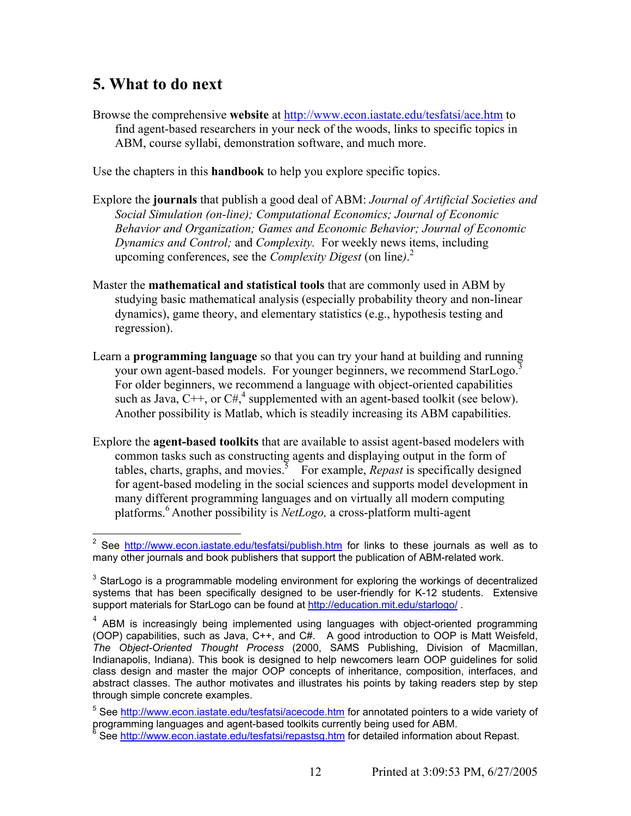## **5. What to do next**

Browse the comprehensive **website** at http://www.econ.iastate.edu/tesfatsi/ace.htm to find agent-based researchers in your neck of the woods, links to specific topics in ABM, course syllabi, demonstration software, and much more.

Use the chapters in this **handbook** to help you explore specific topics.

- Explore the **journals** that publish a good deal of ABM: *Journal of Artificial Societies and Social Simulation (on-line); Computational Economics; Journal of Economic Behavior and Organization; Games and Economic Behavior; Journal of Economic Dynamics and Control;* and *Complexity.* For weekly news items, including upcoming conferences, see the *Complexity Digest* (on line*)*. 2
- Master the **mathematical and statistical tools** that are commonly used in ABM by studying basic mathematical analysis (especially probability theory and non-linear dynamics), game theory, and elementary statistics (e.g., hypothesis testing and regression).
- Learn a **programming language** so that you can try your hand at building and running your own agent-based models. For younger beginners, we recommend StarLogo.<sup>3</sup> For older beginners, we recommend a language with object-oriented capabilities such as Java,  $C++$ , or  $C\#$ , supplemented with an agent-based toolkit (see below). Another possibility is Matlab, which is steadily increasing its ABM capabilities.
- Explore the **agent-based toolkits** that are available to assist agent-based modelers with common tasks such as constructing agents and displaying output in the form of tables, charts, graphs, and movies.<sup>3</sup> For example, *Repast* is specifically designed for agent-based modeling in the social sciences and supports model development in many different programming languages and on virtually all modern computing platforms.6 Another possibility is *NetLogo,* a cross-platform multi-agent

<sup>&</sup>lt;u>.</u><br><sup>2</sup> See <u>http://www.econ.iastate.edu/tesfatsi/publish.htm</u> for links to these journals as well as to many other journals and book publishers that support the publication of ABM-related work.

 $3$  StarLogo is a programmable modeling environment for exploring the workings of decentralized systems that has been specifically designed to be user-friendly for K-12 students. Extensive support materials for StarLogo can be found at http://education.mit.edu/starlogo/

<sup>4</sup> ABM is increasingly being implemented using languages with object-oriented programming (OOP) capabilities, such as Java, C++, and C#. A good introduction to OOP is Matt Weisfeld, *The Object-Oriented Thought Process* (2000, SAMS Publishing, Division of Macmillan, Indianapolis, Indiana). This book is designed to help newcomers learn OOP guidelines for solid class design and master the major OOP concepts of inheritance, composition, interfaces, and abstract classes. The author motivates and illustrates his points by taking readers step by step through simple concrete examples.

<sup>&</sup>lt;sup>5</sup> See http://www.econ.iastate.edu/tesfatsi/acecode.htm for annotated pointers to a wide variety of programming languages and agent-based toolkits currently being used for ABM.<br><sup>6</sup> See http://www.eeon.jastate.odu/teafatei/repeates htm for detailed information.

See http://www.econ.iastate.edu/tesfatsi/repastsg.htm for detailed information about Repast.